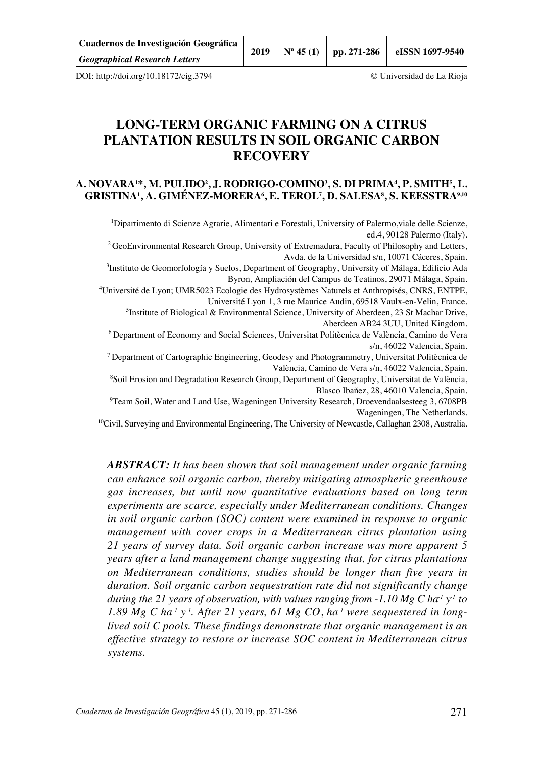| Cuadernos de Investigación Geográfica | 2019 | $\mid$ N° 45 (1) | pp. 271-286 | eISSN 1697-9540 |
|---------------------------------------|------|------------------|-------------|-----------------|
| <b>Geographical Research Letters</b>  |      |                  |             |                 |

DOI: http://doi.org/10.18172/cig.3794 © Universidad de La Rioja

# **LONG-TERM ORGANIC FARMING ON A CITRUS PLANTATION RESULTS IN SOIL ORGANIC CARBON RECOVERY**

## **A. NOVARA1 \*, M. PULIDO2 , J. RODRIGO-COMINO3 , S. DI PRIMA4 , P. SMITH5 , L. GRISTINA1 , A. GIMÉNEZ-MORERA6 , E. TEROL7 , D. SALESA8 , S. KEESSTRA9,10**

<sup>1</sup>Dipartimento di Scienze Agrarie, Alimentari e Forestali, University of Palermo, viale delle Scienze, ed.4, 90128 Palermo (Italy).

<sup>2</sup> GeoEnvironmental Research Group, University of Extremadura, Faculty of Philosophy and Letters, Avda. de la Universidad s/n, 10071 Cáceres, Spain.

3 Instituto de Geomorfología y Suelos, Department of Geography, University of Málaga, Edificio Ada Byron, Ampliación del Campus de Teatinos, 29071 Málaga, Spain.

4 Université de Lyon; UMR5023 Ecologie des Hydrosystèmes Naturels et Anthropisés, CNRS, ENTPE, Université Lyon 1, 3 rue Maurice Audin, 69518 Vaulx-en-Velin, France.

<sup>5</sup>Institute of Biological & Environmental Science, University of Aberdeen, 23 St Machar Drive, Aberdeen AB24 3UU, United Kingdom.

6 Department of Economy and Social Sciences, Universitat Politècnica de València, Camino de Vera s/n, 46022 Valencia, Spain.

7 Department of Cartographic Engineering, Geodesy and Photogrammetry, Universitat Politècnica de València, Camino de Vera s/n, 46022 Valencia, Spain.

8 Soil Erosion and Degradation Research Group, Department of Geography, Universitat de València, Blasco Ibañez, 28, 46010 Valencia, Spain.

9 Team Soil, Water and Land Use, Wageningen University Research, Droevendaalsesteeg 3, 6708PB Wageningen, The Netherlands.

<sup>10</sup>Civil, Surveying and Environmental Engineering, The University of Newcastle, Callaghan 2308, Australia.

*ABSTRACT: It has been shown that soil management under organic farming can enhance soil organic carbon, thereby mitigating atmospheric greenhouse gas increases, but until now quantitative evaluations based on long term experiments are scarce, especially under Mediterranean conditions. Changes in soil organic carbon (SOC) content were examined in response to organic management with cover crops in a Mediterranean citrus plantation using 21 years of survey data. Soil organic carbon increase was more apparent 5 years after a land management change suggesting that, for citrus plantations on Mediterranean conditions, studies should be longer than five years in duration. Soil organic carbon sequestration rate did not significantly change during the 21 years of observation, with values ranging from -1.10 Mg C ha<sup>-1</sup> y<sup>-1</sup> to* 1.89 Mg C ha<sup>-1</sup> y<sup>-1</sup>. After 21 years, 61 Mg CO<sub>2</sub> ha<sup>-1</sup> were sequestered in long*lived soil C pools. These findings demonstrate that organic management is an effective strategy to restore or increase SOC content in Mediterranean citrus systems.*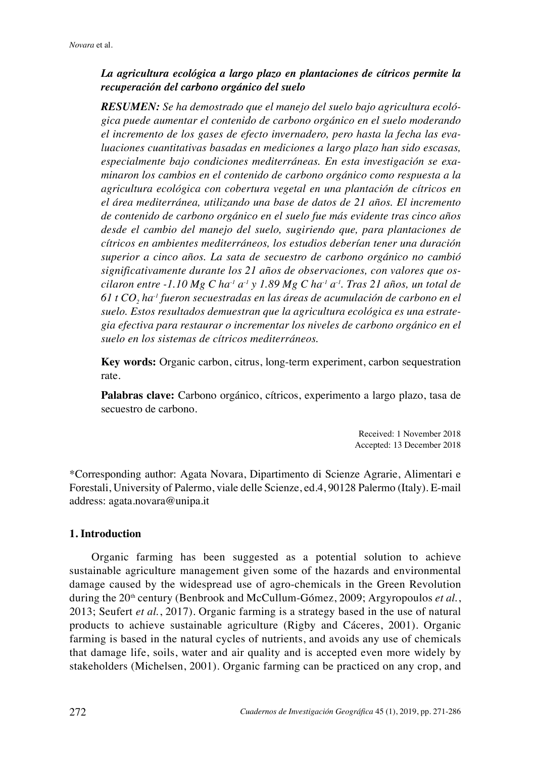## *La agricultura ecológica a largo plazo en plantaciones de cítricos permite la recuperación del carbono orgánico del suelo*

*RESUMEN: Se ha demostrado que el manejo del suelo bajo agricultura ecológica puede aumentar el contenido de carbono orgánico en el suelo moderando el incremento de los gases de efecto invernadero, pero hasta la fecha las evaluaciones cuantitativas basadas en mediciones a largo plazo han sido escasas, especialmente bajo condiciones mediterráneas. En esta investigación se examinaron los cambios en el contenido de carbono orgánico como respuesta a la agricultura ecológica con cobertura vegetal en una plantación de cítricos en el área mediterránea, utilizando una base de datos de 21 años. El incremento de contenido de carbono orgánico en el suelo fue más evidente tras cinco años desde el cambio del manejo del suelo, sugiriendo que, para plantaciones de cítricos en ambientes mediterráneos, los estudios deberían tener una duración superior a cinco años. La sata de secuestro de carbono orgánico no cambió significativamente durante los 21 años de observaciones, con valores que oscilaron entre -1.10 Mg C ha<sup>-1</sup> a<sup>-1</sup> y 1.89 Mg C ha<sup>-1</sup> a<sup>-1</sup>. Tras 21 años, un total de*  $61$  t CO<sub>2</sub> ha<sup>-1</sup> fueron secuestradas en las áreas de acumulación de carbono en el *suelo. Estos resultados demuestran que la agricultura ecológica es una estrategia efectiva para restaurar o incrementar los niveles de carbono orgánico en el suelo en los sistemas de cítricos mediterráneos.*

**Key words:** Organic carbon, citrus, long-term experiment, carbon sequestration rate.

**Palabras clave:** Carbono orgánico, cítricos, experimento a largo plazo, tasa de secuestro de carbono.

> Received: 1 November 2018 Accepted: 13 December 2018

\*Corresponding author: Agata Novara, Dipartimento di Scienze Agrarie, Alimentari e Forestali, University of Palermo, viale delle Scienze, ed.4, 90128 Palermo (Italy). E-mail address: agata.novara@unipa.it

## **1. Introduction**

Organic farming has been suggested as a potential solution to achieve sustainable agriculture management given some of the hazards and environmental damage caused by the widespread use of agro-chemicals in the Green Revolution during the 20<sup>th</sup> century (Benbrook and McCullum-Gómez, 2009; Argyropoulos *et al.*, 2013; Seufert *et al.*, 2017). Organic farming is a strategy based in the use of natural products to achieve sustainable agriculture (Rigby and Cáceres, 2001). Organic farming is based in the natural cycles of nutrients, and avoids any use of chemicals that damage life, soils, water and air quality and is accepted even more widely by stakeholders (Michelsen, 2001). Organic farming can be practiced on any crop, and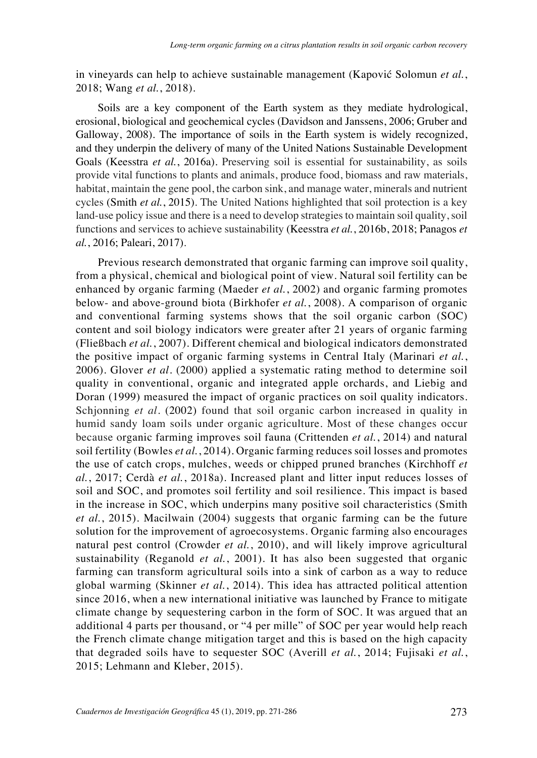in vineyards can help to achieve sustainable management (Kapović Solomun *et al.*, 2018; Wang *et al.*, 2018).

Soils are a key component of the Earth system as they mediate hydrological, erosional, biological and geochemical cycles (Davidson and Janssens, 2006; Gruber and Galloway, 2008). The importance of soils in the Earth system is widely recognized, and they underpin the delivery of many of the United Nations Sustainable Development Goals (Keesstra *et al.*, 2016a). Preserving soil is essential for sustainability, as soils provide vital functions to plants and animals, produce food, biomass and raw materials, habitat, maintain the gene pool, the carbon sink, and manage water, minerals and nutrient cycles (Smith *et al.*, 2015). The United Nations highlighted that soil protection is a key land-use policy issue and there is a need to develop strategies to maintain soil quality, soil functions and services to achieve sustainability (Keesstra *et al.*, 2016b, 2018; Panagos *et al.*, 2016; Paleari, 2017).

Previous research demonstrated that organic farming can improve soil quality, from a physical, chemical and biological point of view. Natural soil fertility can be enhanced by organic farming (Maeder *et al.*, 2002) and organic farming promotes below- and above-ground biota (Birkhofer *et al.*, 2008). A comparison of organic and conventional farming systems shows that the soil organic carbon (SOC) content and soil biology indicators were greater after 21 years of organic farming (Fließbach *et al.*, 2007). Different chemical and biological indicators demonstrated the positive impact of organic farming systems in Central Italy (Marinari *et al.*, 2006). Glover *et al*. (2000) applied a systematic rating method to determine soil quality in conventional, organic and integrated apple orchards, and Liebig and Doran (1999) measured the impact of organic practices on soil quality indicators. Schjonning *et al*. (2002) found that soil organic carbon increased in quality in humid sandy loam soils under organic agriculture. Most of these changes occur because organic farming improves soil fauna (Crittenden *et al.*, 2014) and natural soil fertility (Bowles *et al.*, 2014). Organic farming reduces soil losses and promotes the use of catch crops, mulches, weeds or chipped pruned branches (Kirchhoff *et al.*, 2017; Cerdà *et al.*, 2018a). Increased plant and litter input reduces losses of soil and SOC, and promotes soil fertility and soil resilience. This impact is based in the increase in SOC, which underpins many positive soil characteristics (Smith *et al.*, 2015). Macilwain (2004) suggests that organic farming can be the future solution for the improvement of agroecosystems. Organic farming also encourages natural pest control (Crowder *et al.*, 2010), and will likely improve agricultural sustainability (Reganold *et al.*, 2001). It has also been suggested that organic farming can transform agricultural soils into a sink of carbon as a way to reduce global warming (Skinner *et al.*, 2014). This idea has attracted political attention since 2016, when a new international initiative was launched by France to mitigate climate change by sequestering carbon in the form of SOC. It was argued that an additional 4 parts per thousand, or "4 per mille" of SOC per year would help reach the French climate change mitigation target and this is based on the high capacity that degraded soils have to sequester SOC (Averill *et al.*, 2014; Fujisaki *et al.*, 2015; Lehmann and Kleber, 2015).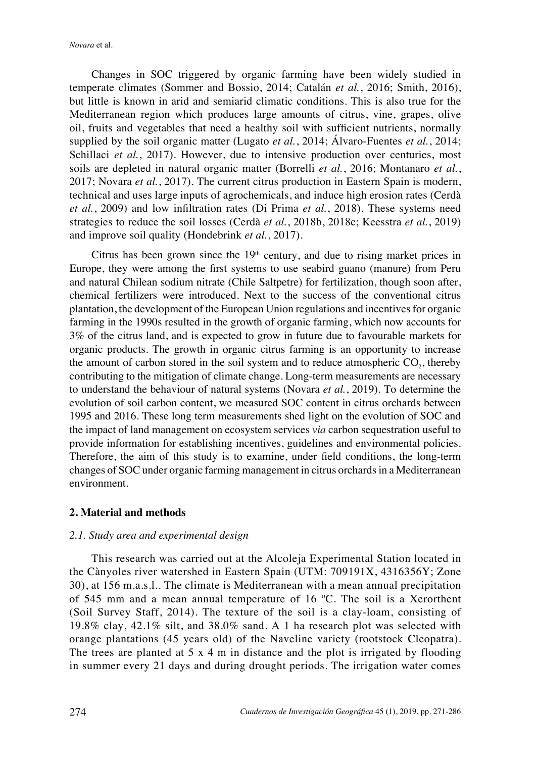*Novara* et al.

Changes in SOC triggered by organic farming have been widely studied in temperate climates (Sommer and Bossio, 2014; Catalán *et al.*, 2016; Smith, 2016), but little is known in arid and semiarid climatic conditions. This is also true for the Mediterranean region which produces large amounts of citrus, vine, grapes, olive oil, fruits and vegetables that need a healthy soil with sufficient nutrients, normally supplied by the soil organic matter (Lugato *et al.*, 2014; Álvaro-Fuentes *et al.*, 2014; Schillaci *et al.*, 2017). However, due to intensive production over centuries, most soils are depleted in natural organic matter (Borrelli *et al.*, 2016; Montanaro *et al.*, 2017; Novara *et al.*, 2017). The current citrus production in Eastern Spain is modern, technical and uses large inputs of agrochemicals, and induce high erosion rates (Cerdà *et al.*, 2009) and low infiltration rates (Di Prima *et al.*, 2018). These systems need strategies to reduce the soil losses (Cerdà *et al.*, 2018b, 2018c; Keesstra *et al.*, 2019) and improve soil quality (Hondebrink *et al.*, 2017).

Citrus has been grown since the  $19<sup>th</sup>$  century, and due to rising market prices in Europe, they were among the first systems to use seabird guano (manure) from Peru and natural Chilean sodium nitrate (Chile Saltpetre) for fertilization, though soon after, chemical fertilizers were introduced. Next to the success of the conventional citrus plantation, the development of the European Union regulations and incentives for organic farming in the 1990s resulted in the growth of organic farming, which now accounts for 3% of the citrus land, and is expected to grow in future due to favourable markets for organic products. The growth in organic citrus farming is an opportunity to increase the amount of carbon stored in the soil system and to reduce atmospheric  $CO<sub>2</sub>$ , thereby contributing to the mitigation of climate change. Long-term measurements are necessary to understand the behaviour of natural systems (Novara *et al.*, 2019). To determine the evolution of soil carbon content, we measured SOC content in citrus orchards between 1995 and 2016. These long term measurements shed light on the evolution of SOC and the impact of land management on ecosystem services *via* carbon sequestration useful to provide information for establishing incentives, guidelines and environmental policies. Therefore, the aim of this study is to examine, under field conditions, the long-term changes of SOC under organic farming management in citrus orchards in a Mediterranean environment.

## **2. Material and methods**

## *2.1. Study area and experimental design*

This research was carried out at the Alcoleja Experimental Station located in the Cànyoles river watershed in Eastern Spain (UTM: 709191X, 4316356Y; Zone 30), at 156 m.a.s.l.. The climate is Mediterranean with a mean annual precipitation of 545 mm and a mean annual temperature of 16 ºC. The soil is a Xerorthent (Soil Survey Staff, 2014). The texture of the soil is a clay-loam, consisting of 19.8% clay, 42.1% silt, and 38.0% sand. A 1 ha research plot was selected with orange plantations (45 years old) of the Naveline variety (rootstock Cleopatra). The trees are planted at 5 x 4 m in distance and the plot is irrigated by flooding in summer every 21 days and during drought periods. The irrigation water comes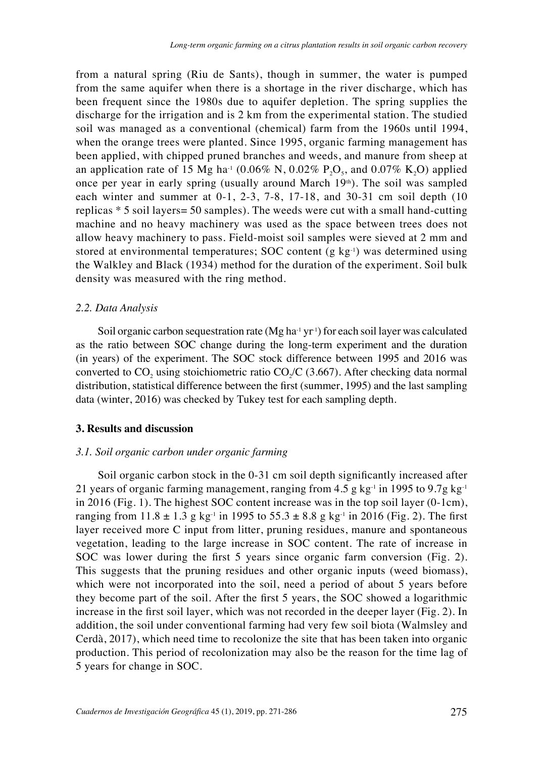from a natural spring (Riu de Sants), though in summer, the water is pumped from the same aquifer when there is a shortage in the river discharge, which has been frequent since the 1980s due to aquifer depletion. The spring supplies the discharge for the irrigation and is 2 km from the experimental station. The studied soil was managed as a conventional (chemical) farm from the 1960s until 1994, when the orange trees were planted. Since 1995, organic farming management has been applied, with chipped pruned branches and weeds, and manure from sheep at an application rate of 15 Mg ha<sup>-1</sup> (0.06% N, 0.02% P<sub>2</sub>O<sub>5</sub>, and 0.07% K<sub>2</sub>O) applied once per year in early spring (usually around March  $19<sup>th</sup>$ ). The soil was sampled each winter and summer at 0-1, 2-3, 7-8, 17-18, and 30-31 cm soil depth (10 replicas \* 5 soil layers= 50 samples). The weeds were cut with a small hand-cutting machine and no heavy machinery was used as the space between trees does not allow heavy machinery to pass. Field-moist soil samples were sieved at 2 mm and stored at environmental temperatures; SOC content (g  $kg<sup>-1</sup>$ ) was determined using the Walkley and Black (1934) method for the duration of the experiment. Soil bulk density was measured with the ring method.

#### *2.2. Data Analysis*

Soil organic carbon sequestration rate (Mg ha<sup>-1</sup> yr<sup>-1</sup>) for each soil layer was calculated as the ratio between SOC change during the long-term experiment and the duration (in years) of the experiment. The SOC stock difference between 1995 and 2016 was converted to CO<sub>2</sub> using stoichiometric ratio CO<sub>2</sub>/C (3.667). After checking data normal distribution, statistical difference between the first (summer, 1995) and the last sampling data (winter, 2016) was checked by Tukey test for each sampling depth.

## **3. Results and discussion**

#### *3.1. Soil organic carbon under organic farming*

Soil organic carbon stock in the 0-31 cm soil depth significantly increased after 21 years of organic farming management, ranging from 4.5 g  $kg<sup>-1</sup>$  in 1995 to 9.7g kg<sup>-1</sup> in 2016 (Fig. 1). The highest SOC content increase was in the top soil layer (0-1cm), ranging from  $11.8 \pm 1.3$  g kg<sup>-1</sup> in 1995 to  $55.3 \pm 8.8$  g kg<sup>-1</sup> in 2016 (Fig. 2). The first layer received more C input from litter, pruning residues, manure and spontaneous vegetation, leading to the large increase in SOC content. The rate of increase in SOC was lower during the first 5 years since organic farm conversion (Fig. 2). This suggests that the pruning residues and other organic inputs (weed biomass), which were not incorporated into the soil, need a period of about 5 years before they become part of the soil. After the first 5 years, the SOC showed a logarithmic increase in the first soil layer, which was not recorded in the deeper layer (Fig. 2). In addition, the soil under conventional farming had very few soil biota (Walmsley and Cerdà, 2017), which need time to recolonize the site that has been taken into organic production. This period of recolonization may also be the reason for the time lag of 5 years for change in SOC.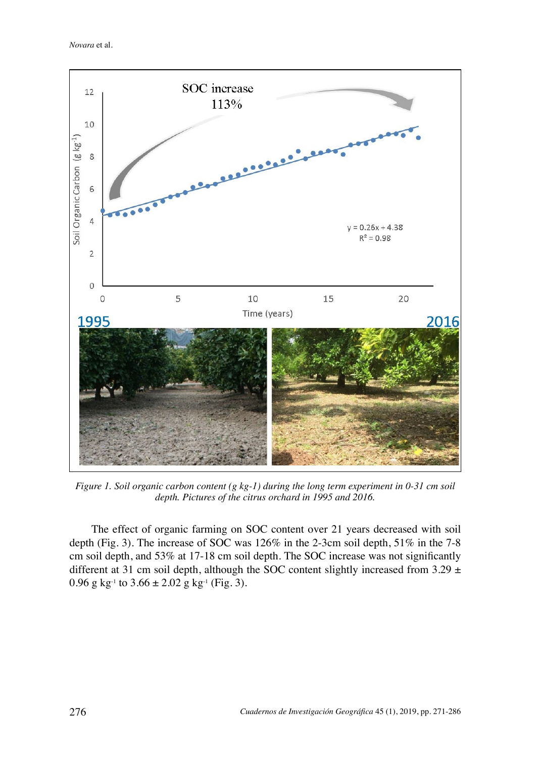*Novara* et al.



*Figure 1. Soil organic carbon content (g kg-1) during the long term experiment in 0-31 cm soil depth. Pictures of the citrus orchard in 1995 and 2016.*

The effect of organic farming on SOC content over 21 years decreased with soil depth (Fig. 3). The increase of SOC was 126% in the 2-3cm soil depth, 51% in the 7-8 cm soil depth, and 53% at 17-18 cm soil depth. The SOC increase was not significantly different at 31 cm soil depth, although the SOC content slightly increased from 3.29  $\pm$ 0.96 g kg<sup>-1</sup> to  $3.66 \pm 2.02$  g kg<sup>-1</sup> (Fig. 3).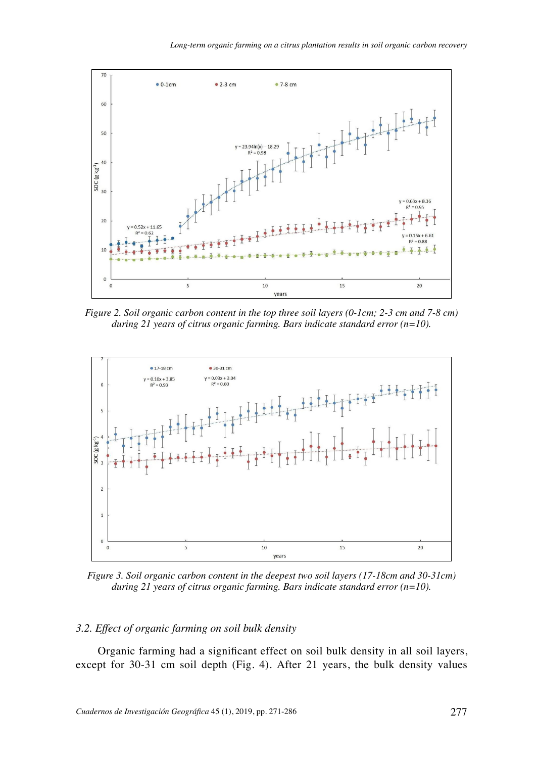

*Figure 2. Soil organic carbon content in the top three soil layers (0-1cm; 2-3 cm and 7-8 cm) during 21 years of citrus organic farming. Bars indicate standard error (n=10).*



*Figure 3. Soil organic carbon content in the deepest two soil layers (17-18cm and 30-31cm) during 21 years of citrus organic farming. Bars indicate standard error (n=10).*

## *3.2. Effect of organic farming on soil bulk density*

Organic farming had a significant effect on soil bulk density in all soil layers, except for 30-31 cm soil depth (Fig. 4). After 21 years, the bulk density values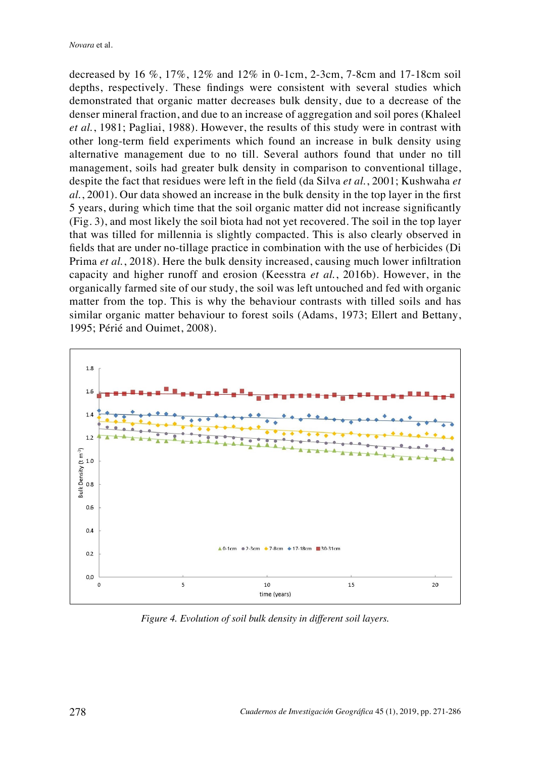decreased by 16 %, 17%, 12% and 12% in 0-1cm, 2-3cm, 7-8cm and 17-18cm soil depths, respectively. These findings were consistent with several studies which demonstrated that organic matter decreases bulk density, due to a decrease of the denser mineral fraction, and due to an increase of aggregation and soil pores (Khaleel *et al.*, 1981; Pagliai, 1988). However, the results of this study were in contrast with other long-term field experiments which found an increase in bulk density using alternative management due to no till. Several authors found that under no till management, soils had greater bulk density in comparison to conventional tillage, despite the fact that residues were left in the field (da Silva *et al.*, 2001; Kushwaha *et al.*, 2001). Our data showed an increase in the bulk density in the top layer in the first 5 years, during which time that the soil organic matter did not increase significantly (Fig. 3), and most likely the soil biota had not yet recovered. The soil in the top layer that was tilled for millennia is slightly compacted. This is also clearly observed in fields that are under no-tillage practice in combination with the use of herbicides (Di Prima *et al.*, 2018). Here the bulk density increased, causing much lower infiltration capacity and higher runoff and erosion (Keesstra *et al.*, 2016b). However, in the organically farmed site of our study, the soil was left untouched and fed with organic matter from the top. This is why the behaviour contrasts with tilled soils and has similar organic matter behaviour to forest soils (Adams, 1973; Ellert and Bettany, 1995; Périé and Ouimet, 2008).



*Figure 4. Evolution of soil bulk density in different soil layers.*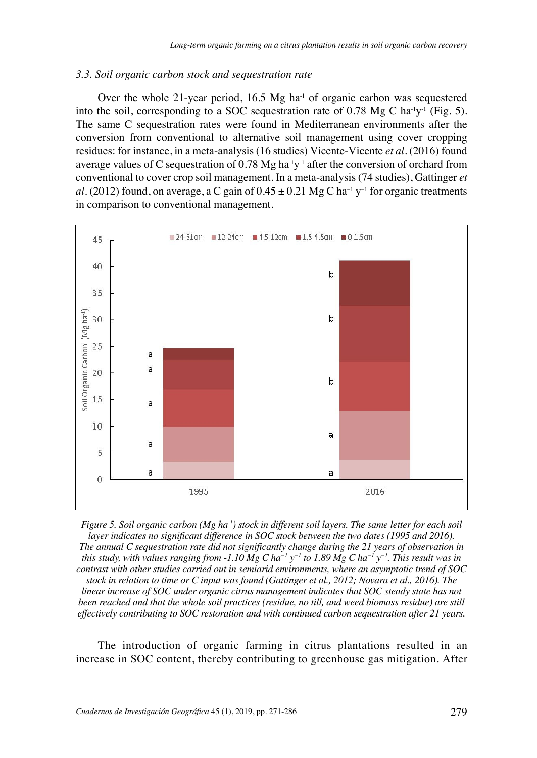## *3.3. Soil organic carbon stock and sequestration rate*

Over the whole 21-year period, 16.5 Mg ha<sup> $1$ </sup> of organic carbon was sequestered into the soil, corresponding to a SOC sequestration rate of 0.78 Mg C ha<sup>-1</sup>y<sup>-1</sup> (Fig. 5). The same C sequestration rates were found in Mediterranean environments after the conversion from conventional to alternative soil management using cover cropping residues: for instance, in a meta-analysis (16 studies) Vicente-Vicente *et al*. (2016) found average values of C sequestration of 0.78 Mg ha<sup>-1</sup>y<sup>-1</sup> after the conversion of orchard from conventional to cover crop soil management. In a meta-analysis (74 studies), Gattinger *et al*. (2012) found, on average, a C gain of  $0.45 \pm 0.21$  Mg C ha<sup>-1</sup> y<sup>-1</sup> for organic treatments in comparison to conventional management.



*Figure 5. Soil organic carbon (Mg ha<sup>-1</sup>) stock in different soil layers. The same letter for each soil layer indicates no significant difference in SOC stock between the two dates (1995 and 2016). The annual C sequestration rate did not significantly change during the 21 years of observation in this study, with values ranging from -1.10 Mg C ha<sup>-1</sup>*  $y^{-1}$  *to 1.89 Mg C ha<sup>-1</sup>*  $y^{-1}$ *. This result was in contrast with other studies carried out in semiarid environments, where an asymptotic trend of SOC stock in relation to time or C input was found (Gattinger et al., 2012; Novara et al., 2016). The linear increase of SOC under organic citrus management indicates that SOC steady state has not been reached and that the whole soil practices (residue, no till, and weed biomass residue) are still effectively contributing to SOC restoration and with continued carbon sequestration after 21 years.*

The introduction of organic farming in citrus plantations resulted in an increase in SOC content, thereby contributing to greenhouse gas mitigation. After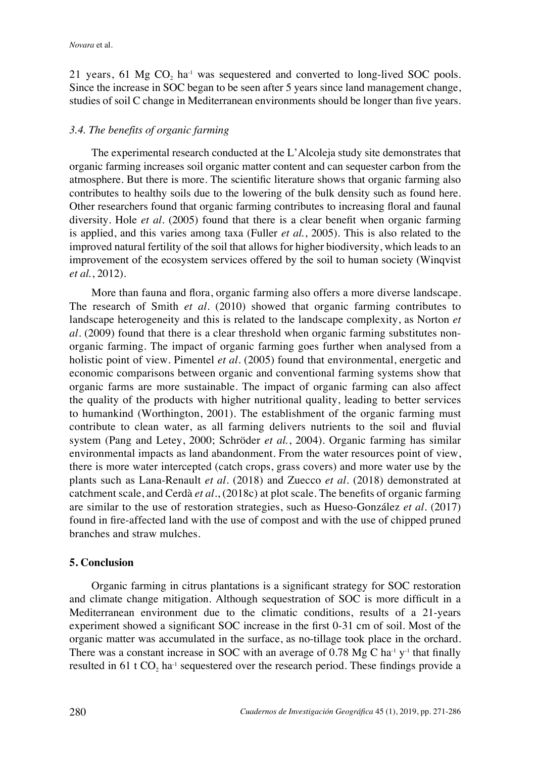21 years, 61 Mg  $CO$ ,  $ha^{-1}$  was sequestered and converted to long-lived SOC pools. Since the increase in SOC began to be seen after 5 years since land management change, studies of soil C change in Mediterranean environments should be longer than five years.

## *3.4. The benefits of organic farming*

The experimental research conducted at the L'Alcoleja study site demonstrates that organic farming increases soil organic matter content and can sequester carbon from the atmosphere. But there is more. The scientific literature shows that organic farming also contributes to healthy soils due to the lowering of the bulk density such as found here. Other researchers found that organic farming contributes to increasing floral and faunal diversity. Hole *et al*. (2005) found that there is a clear benefit when organic farming is applied, and this varies among taxa (Fuller *et al.*, 2005). This is also related to the improved natural fertility of the soil that allows for higher biodiversity, which leads to an improvement of the ecosystem services offered by the soil to human society (Winqvist *et al.*, 2012).

More than fauna and flora, organic farming also offers a more diverse landscape. The research of Smith *et al*. (2010) showed that organic farming contributes to landscape heterogeneity and this is related to the landscape complexity, as Norton *et al*. (2009) found that there is a clear threshold when organic farming substitutes nonorganic farming. The impact of organic farming goes further when analysed from a holistic point of view. Pimentel *et al*. (2005) found that environmental, energetic and economic comparisons between organic and conventional farming systems show that organic farms are more sustainable. The impact of organic farming can also affect the quality of the products with higher nutritional quality, leading to better services to humankind (Worthington, 2001). The establishment of the organic farming must contribute to clean water, as all farming delivers nutrients to the soil and fluvial system (Pang and Letey, 2000; Schröder *et al.*, 2004). Organic farming has similar environmental impacts as land abandonment. From the water resources point of view, there is more water intercepted (catch crops, grass covers) and more water use by the plants such as Lana-Renault *et al*. (2018) and Zuecco *et al*. (2018) demonstrated at catchment scale, and Cerdà *et al*., (2018c) at plot scale. The benefits of organic farming are similar to the use of restoration strategies, such as Hueso-González *et al*. (2017) found in fire-affected land with the use of compost and with the use of chipped pruned branches and straw mulches.

## **5. Conclusion**

Organic farming in citrus plantations is a significant strategy for SOC restoration and climate change mitigation. Although sequestration of SOC is more difficult in a Mediterranean environment due to the climatic conditions, results of a 21-years experiment showed a significant SOC increase in the first 0-31 cm of soil. Most of the organic matter was accumulated in the surface, as no-tillage took place in the orchard. There was a constant increase in SOC with an average of 0.78 Mg C ha<sup>-1</sup> y<sup>-1</sup> that finally resulted in 61 t  $CO<sub>2</sub>$  ha<sup>-1</sup> sequestered over the research period. These findings provide a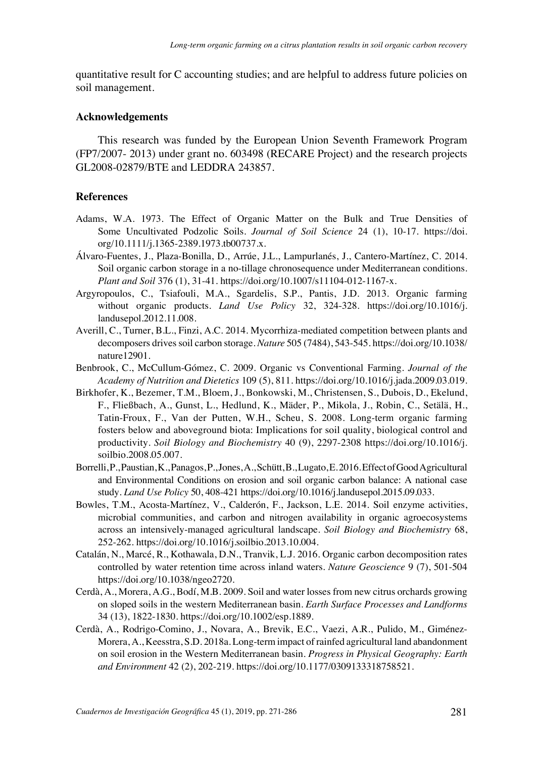quantitative result for C accounting studies; and are helpful to address future policies on soil management.

## **Acknowledgements**

This research was funded by the European Union Seventh Framework Program (FP7/2007- 2013) under grant no. 603498 (RECARE Project) and the research projects GL2008-02879/BTE and LEDDRA 243857.

## **References**

- Adams, W.A. 1973. The Effect of Organic Matter on the Bulk and True Densities of Some Uncultivated Podzolic Soils. *Journal of Soil Science* 24 (1), 10-17. https://doi. org/10.1111/j.1365-2389.1973.tb00737.x.
- Álvaro-Fuentes, J., Plaza-Bonilla, D., Arrúe, J.L., Lampurlanés, J., Cantero-Martínez, C. 2014. Soil organic carbon storage in a no-tillage chronosequence under Mediterranean conditions. *Plant and Soil* 376 (1), 31-41. https://doi.org/10.1007/s11104-012-1167-x.
- Argyropoulos, C., Tsiafouli, M.A., Sgardelis, S.P., Pantis, J.D. 2013. Organic farming without organic products. *Land Use Policy* 32, 324-328. https://doi.org/10.1016/j. landusepol.2012.11.008.
- Averill, C., Turner, B.L., Finzi, A.C. 2014. Mycorrhiza-mediated competition between plants and decomposers drives soil carbon storage. *Nature* 505 (7484), 543-545. https://doi.org/10.1038/ nature12901.
- Benbrook, C., McCullum-Gómez, C. 2009. Organic vs Conventional Farming. *Journal of the Academy of Nutrition and Dietetics* 109 (5), 811. https://doi.org/10.1016/j.jada.2009.03.019.
- Birkhofer, K., Bezemer, T.M., Bloem, J., Bonkowski, M., Christensen, S., Dubois, D., Ekelund, F., Fließbach, A., Gunst, L., Hedlund, K., Mäder, P., Mikola, J., Robin, C., Setälä, H., Tatin-Froux, F., Van der Putten, W.H., Scheu, S. 2008. Long-term organic farming fosters below and aboveground biota: Implications for soil quality, biological control and productivity. *Soil Biology and Biochemistry* 40 (9), 2297-2308 https://doi.org/10.1016/j. soilbio.2008.05.007.
- Borrelli, P., Paustian, K., Panagos, P., Jones, A., Schütt, B., Lugato, E. 2016. Effect of Good Agricultural and Environmental Conditions on erosion and soil organic carbon balance: A national case study. *Land Use Policy* 50, 408-421 https://doi.org/10.1016/j.landusepol.2015.09.033.
- Bowles, T.M., Acosta-Martínez, V., Calderón, F., Jackson, L.E. 2014. Soil enzyme activities, microbial communities, and carbon and nitrogen availability in organic agroecosystems across an intensively-managed agricultural landscape. *Soil Biology and Biochemistry* 68, 252-262. https://doi.org/10.1016/j.soilbio.2013.10.004.
- Catalán, N., Marcé, R., Kothawala, D.N., Tranvik, L.J. 2016. Organic carbon decomposition rates controlled by water retention time across inland waters. *Nature Geoscience* 9 (7), 501-504 https://doi.org/10.1038/ngeo2720.
- Cerdà, A., Morera, A.G., Bodí, M.B. 2009. Soil and water losses from new citrus orchards growing on sloped soils in the western Mediterranean basin. *Earth Surface Processes and Landforms* 34 (13), 1822-1830. https://doi.org/10.1002/esp.1889.
- Cerdà, A., Rodrigo-Comino, J., Novara, A., Brevik, E.C., Vaezi, A.R., Pulido, M., Giménez-Morera, A., Keesstra, S.D. 2018a. Long-term impact of rainfed agricultural land abandonment on soil erosion in the Western Mediterranean basin. *Progress in Physical Geography: Earth and Environment* 42 (2), 202-219. https://doi.org/10.1177/0309133318758521.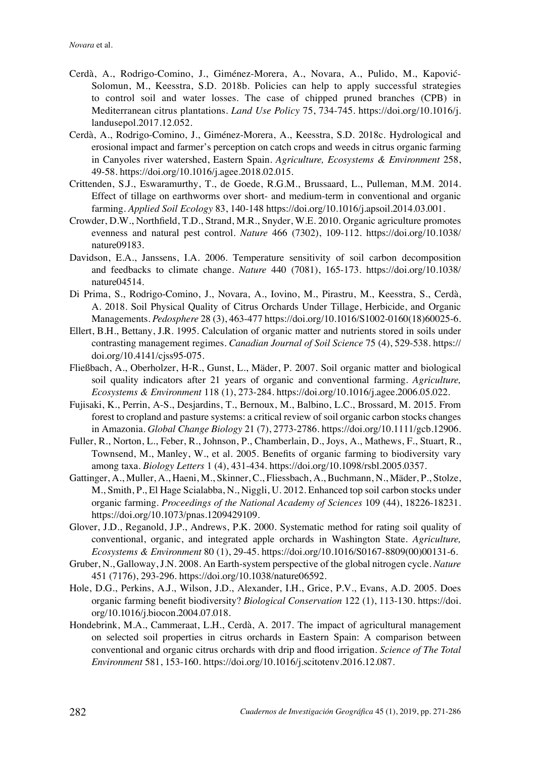- Cerdà, A., Rodrigo-Comino, J., Giménez-Morera, A., Novara, A., Pulido, M., Kapović-Solomun, M., Keesstra, S.D. 2018b. Policies can help to apply successful strategies to control soil and water losses. The case of chipped pruned branches (CPB) in Mediterranean citrus plantations. *Land Use Policy* 75, 734-745. https://doi.org/10.1016/j. landusepol.2017.12.052.
- Cerdà, A., Rodrigo-Comino, J., Giménez-Morera, A., Keesstra, S.D. 2018c. Hydrological and erosional impact and farmer's perception on catch crops and weeds in citrus organic farming in Canyoles river watershed, Eastern Spain. *Agriculture, Ecosystems & Environment* 258, 49-58. https://doi.org/10.1016/j.agee.2018.02.015.
- Crittenden, S.J., Eswaramurthy, T., de Goede, R.G.M., Brussaard, L., Pulleman, M.M. 2014. Effect of tillage on earthworms over short- and medium-term in conventional and organic farming. *Applied Soil Ecology* 83, 140-148 https://doi.org/10.1016/j.apsoil.2014.03.001.
- Crowder, D.W., Northfield, T.D., Strand, M.R., Snyder, W.E. 2010. Organic agriculture promotes evenness and natural pest control. *Nature* 466 (7302), 109-112. https://doi.org/10.1038/ nature09183.
- Davidson, E.A., Janssens, I.A. 2006. Temperature sensitivity of soil carbon decomposition and feedbacks to climate change. *Nature* 440 (7081), 165-173. https://doi.org/10.1038/ nature04514.
- Di Prima, S., Rodrigo-Comino, J., Novara, A., Iovino, M., Pirastru, M., Keesstra, S., Cerdà, A. 2018. Soil Physical Quality of Citrus Orchards Under Tillage, Herbicide, and Organic Managements. *Pedosphere* 28 (3), 463-477 https://doi.org/10.1016/S1002-0160(18)60025-6.
- Ellert, B.H., Bettany, J.R. 1995. Calculation of organic matter and nutrients stored in soils under contrasting management regimes. *Canadian Journal of Soil Science* 75 (4), 529-538. https:// doi.org/10.4141/cjss95-075.
- Fließbach, A., Oberholzer, H-R., Gunst, L., Mäder, P. 2007. Soil organic matter and biological soil quality indicators after 21 years of organic and conventional farming. *Agriculture, Ecosystems & Environment* 118 (1), 273-284. https://doi.org/10.1016/j.agee.2006.05.022.
- Fujisaki, K., Perrin, A-S., Desjardins, T., Bernoux, M., Balbino, L.C., Brossard, M. 2015. From forest to cropland and pasture systems: a critical review of soil organic carbon stocks changes in Amazonia. *Global Change Biology* 21 (7), 2773-2786. https://doi.org/10.1111/gcb.12906.
- Fuller, R., Norton, L., Feber, R., Johnson, P., Chamberlain, D., Joys, A., Mathews, F., Stuart, R., Townsend, M., Manley, W., et al. 2005. Benefits of organic farming to biodiversity vary among taxa. *Biology Letters* 1 (4), 431-434. https://doi.org/10.1098/rsbl.2005.0357.
- Gattinger, A., Muller, A., Haeni, M., Skinner, C., Fliessbach, A., Buchmann, N., Mäder, P., Stolze, M., Smith, P., El Hage Scialabba, N., Niggli, U. 2012. Enhanced top soil carbon stocks under organic farming. *Proceedings of the National Academy of Sciences* 109 (44), 18226-18231. https://doi.org/10.1073/pnas.1209429109.
- Glover, J.D., Reganold, J.P., Andrews, P.K. 2000. Systematic method for rating soil quality of conventional, organic, and integrated apple orchards in Washington State. *Agriculture, Ecosystems & Environment* 80 (1), 29-45. https://doi.org/10.1016/S0167-8809(00)00131-6.
- Gruber, N., Galloway, J.N. 2008. An Earth-system perspective of the global nitrogen cycle. *Nature* 451 (7176), 293-296. https://doi.org/10.1038/nature06592.
- Hole, D.G., Perkins, A.J., Wilson, J.D., Alexander, I.H., Grice, P.V., Evans, A.D. 2005. Does organic farming benefit biodiversity? *Biological Conservation* 122 (1), 113-130. https://doi. org/10.1016/j.biocon.2004.07.018.
- Hondebrink, M.A., Cammeraat, L.H., Cerdà, A. 2017. The impact of agricultural management on selected soil properties in citrus orchards in Eastern Spain: A comparison between conventional and organic citrus orchards with drip and flood irrigation. *Science of The Total Environment* 581, 153-160. https://doi.org/10.1016/j.scitotenv.2016.12.087.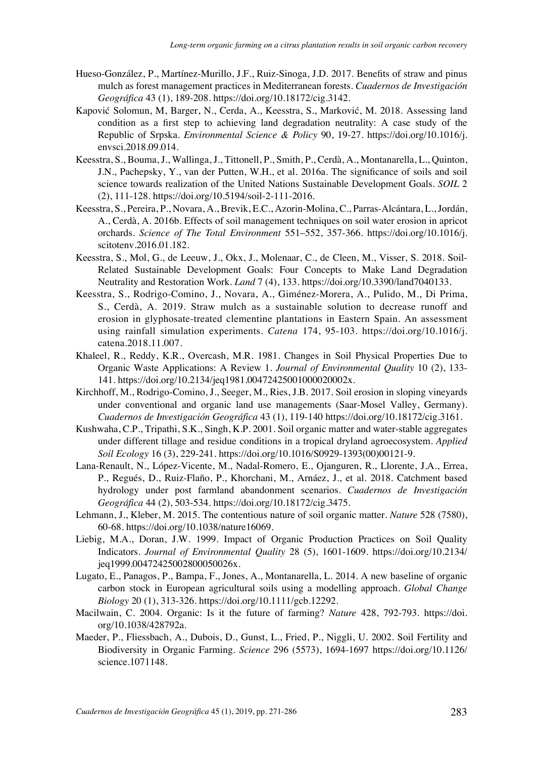- Hueso-González, P., Martínez-Murillo, J.F., Ruiz-Sinoga, J.D. 2017. Benefits of straw and pinus mulch as forest management practices in Mediterranean forests. *Cuadernos de Investigación Geográfica* 43 (1), 189-208. https://doi.org/10.18172/cig.3142.
- Kapović Solomun, M, Barger, N., Cerda, A., Keesstra, S., Marković, M. 2018. Assessing land condition as a first step to achieving land degradation neutrality: A case study of the Republic of Srpska. *Environmental Science & Policy* 90, 19-27. https://doi.org/10.1016/j. envsci.2018.09.014.
- Keesstra, S., Bouma, J., Wallinga, J., Tittonell, P., Smith, P., Cerdà, A., Montanarella, L., Quinton, J.N., Pachepsky, Y., van der Putten, W.H., et al. 2016a. The significance of soils and soil science towards realization of the United Nations Sustainable Development Goals. *SOIL* 2 (2), 111-128. https://doi.org/10.5194/soil-2-111-2016.
- Keesstra, S., Pereira, P., Novara, A., Brevik, E.C., Azorin-Molina, C., Parras-Alcántara, L., Jordán, A., Cerdà, A. 2016b. Effects of soil management techniques on soil water erosion in apricot orchards. *Science of The Total Environment* 551–552, 357-366. https://doi.org/10.1016/j. scitotenv.2016.01.182.
- Keesstra, S., Mol, G., de Leeuw, J., Okx, J., Molenaar, C., de Cleen, M., Visser, S. 2018. Soil-Related Sustainable Development Goals: Four Concepts to Make Land Degradation Neutrality and Restoration Work. *Land* 7 (4), 133. https://doi.org/10.3390/land7040133.
- Keesstra, S., Rodrigo-Comino, J., Novara, A., Giménez-Morera, A., Pulido, M., Di Prima, S., Cerdà, A. 2019. Straw mulch as a sustainable solution to decrease runoff and erosion in glyphosate-treated clementine plantations in Eastern Spain. An assessment using rainfall simulation experiments. *Catena* 174, 95-103. https://doi.org/10.1016/j. catena.2018.11.007.
- Khaleel, R., Reddy, K.R., Overcash, M.R. 1981. Changes in Soil Physical Properties Due to Organic Waste Applications: A Review 1. *Journal of Environmental Quality* 10 (2), 133- 141. https://doi.org/10.2134/jeq1981.00472425001000020002x.
- Kirchhoff, M., Rodrigo-Comino, J., Seeger, M., Ries, J.B. 2017. Soil erosion in sloping vineyards under conventional and organic land use managements (Saar-Mosel Valley, Germany). *Cuadernos de Investigación Geográfica* 43 (1), 119-140 https://doi.org/10.18172/cig.3161.
- Kushwaha, C.P., Tripathi, S.K., Singh, K.P. 2001. Soil organic matter and water-stable aggregates under different tillage and residue conditions in a tropical dryland agroecosystem. *Applied Soil Ecology* 16 (3), 229-241. https://doi.org/10.1016/S0929-1393(00)00121-9.
- Lana-Renault, N., López-Vicente, M., Nadal-Romero, E., Ojanguren, R., Llorente, J.A., Errea, P., Regués, D., Ruiz-Flaño, P., Khorchani, M., Arnáez, J., et al. 2018. Catchment based hydrology under post farmland abandonment scenarios. *Cuadernos de Investigación Geográfica* 44 (2), 503-534. https://doi.org/10.18172/cig.3475.
- Lehmann, J., Kleber, M. 2015. The contentious nature of soil organic matter. *Nature* 528 (7580), 60-68. https://doi.org/10.1038/nature16069.
- Liebig, M.A., Doran, J.W. 1999. Impact of Organic Production Practices on Soil Quality Indicators. *Journal of Environmental Quality* 28 (5), 1601-1609. https://doi.org/10.2134/ jeq1999.00472425002800050026x.
- Lugato, E., Panagos, P., Bampa, F., Jones, A., Montanarella, L. 2014. A new baseline of organic carbon stock in European agricultural soils using a modelling approach. *Global Change Biology* 20 (1), 313-326. https://doi.org/10.1111/gcb.12292.
- Macilwain, C. 2004. Organic: Is it the future of farming? *Nature* 428, 792-793. https://doi. org/10.1038/428792a.
- Maeder, P., Fliessbach, A., Dubois, D., Gunst, L., Fried, P., Niggli, U. 2002. Soil Fertility and Biodiversity in Organic Farming. *Science* 296 (5573), 1694-1697 https://doi.org/10.1126/ science.1071148.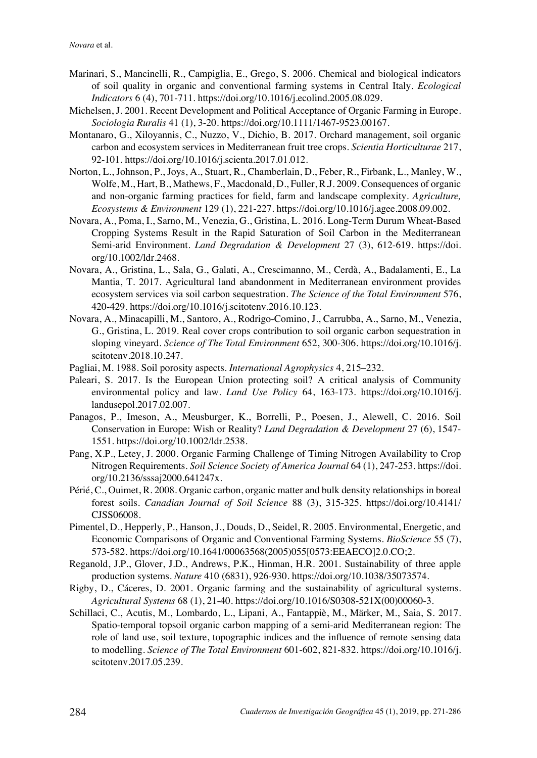- Marinari, S., Mancinelli, R., Campiglia, E., Grego, S. 2006. Chemical and biological indicators of soil quality in organic and conventional farming systems in Central Italy. *Ecological Indicators* 6 (4), 701-711. https://doi.org/10.1016/j.ecolind.2005.08.029.
- Michelsen, J. 2001. Recent Development and Political Acceptance of Organic Farming in Europe. *Sociologia Ruralis* 41 (1), 3-20. https://doi.org/10.1111/1467-9523.00167.
- Montanaro, G., Xiloyannis, C., Nuzzo, V., Dichio, B. 2017. Orchard management, soil organic carbon and ecosystem services in Mediterranean fruit tree crops. *Scientia Horticulturae* 217, 92-101. https://doi.org/10.1016/j.scienta.2017.01.012.
- Norton, L., Johnson, P., Joys, A., Stuart, R., Chamberlain, D., Feber, R., Firbank, L., Manley, W., Wolfe, M., Hart, B., Mathews, F., Macdonald, D., Fuller, R.J. 2009. Consequences of organic and non-organic farming practices for field, farm and landscape complexity. *Agriculture, Ecosystems & Environment* 129 (1), 221-227. https://doi.org/10.1016/j.agee.2008.09.002.
- Novara, A., Poma, I., Sarno, M., Venezia, G., Gristina, L. 2016. Long-Term Durum Wheat-Based Cropping Systems Result in the Rapid Saturation of Soil Carbon in the Mediterranean Semi-arid Environment. *Land Degradation & Development* 27 (3), 612-619. https://doi. org/10.1002/ldr.2468.
- Novara, A., Gristina, L., Sala, G., Galati, A., Crescimanno, M., Cerdà, A., Badalamenti, E., La Mantia, T. 2017. Agricultural land abandonment in Mediterranean environment provides ecosystem services via soil carbon sequestration. *The Science of the Total Environment* 576, 420-429. https://doi.org/10.1016/j.scitotenv.2016.10.123.
- Novara, A., Minacapilli, M., Santoro, A., Rodrigo-Comino, J., Carrubba, A., Sarno, M., Venezia, G., Gristina, L. 2019. Real cover crops contribution to soil organic carbon sequestration in sloping vineyard. *Science of The Total Environment* 652, 300-306. https://doi.org/10.1016/j. scitotenv.2018.10.247.
- Pagliai, M. 1988. Soil porosity aspects. *International Agrophysics* 4, 215–232.
- Paleari, S. 2017. Is the European Union protecting soil? A critical analysis of Community environmental policy and law. *Land Use Policy* 64, 163-173. https://doi.org/10.1016/j. landusepol.2017.02.007.
- Panagos, P., Imeson, A., Meusburger, K., Borrelli, P., Poesen, J., Alewell, C. 2016. Soil Conservation in Europe: Wish or Reality? *Land Degradation & Development* 27 (6), 1547- 1551. https://doi.org/10.1002/ldr.2538.
- Pang, X.P., Letey, J. 2000. Organic Farming Challenge of Timing Nitrogen Availability to Crop Nitrogen Requirements. *Soil Science Society of America Journal* 64 (1), 247-253. https://doi. org/10.2136/sssaj2000.641247x.
- Périé, C., Ouimet, R. 2008. Organic carbon, organic matter and bulk density relationships in boreal forest soils. *Canadian Journal of Soil Science* 88 (3), 315-325. https://doi.org/10.4141/ CJSS06008.
- Pimentel, D., Hepperly, P., Hanson, J., Douds, D., Seidel, R. 2005. Environmental, Energetic, and Economic Comparisons of Organic and Conventional Farming Systems. *BioScience* 55 (7), 573-582. https://doi.org/10.1641/00063568(2005)055[0573:EEAECO]2.0.CO;2.
- Reganold, J.P., Glover, J.D., Andrews, P.K., Hinman, H.R. 2001. Sustainability of three apple production systems. *Nature* 410 (6831), 926-930. https://doi.org/10.1038/35073574.
- Rigby, D., Cáceres, D. 2001. Organic farming and the sustainability of agricultural systems. *Agricultural Systems* 68 (1), 21-40. https://doi.org/10.1016/S0308-521X(00)00060-3.
- Schillaci, C., Acutis, M., Lombardo, L., Lipani, A., Fantappiè, M., Märker, M., Saia, S. 2017. Spatio-temporal topsoil organic carbon mapping of a semi-arid Mediterranean region: The role of land use, soil texture, topographic indices and the influence of remote sensing data to modelling. *Science of The Total Environment* 601-602, 821-832. https://doi.org/10.1016/j. scitotenv.2017.05.239.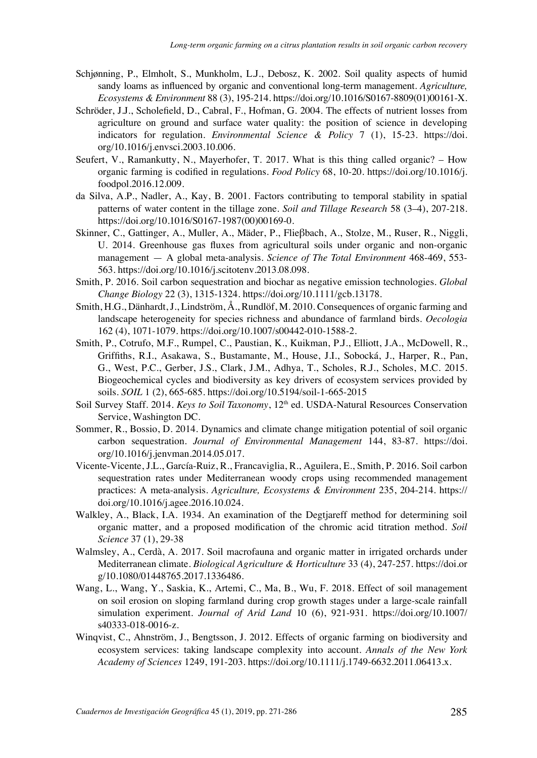- Schjønning, P., Elmholt, S., Munkholm, L.J., Debosz, K. 2002. Soil quality aspects of humid sandy loams as influenced by organic and conventional long-term management. *Agriculture, Ecosystems & Environment* 88 (3), 195-214. https://doi.org/10.1016/S0167-8809(01)00161-X.
- Schröder, J.J., Scholefield, D., Cabral, F., Hofman, G. 2004. The effects of nutrient losses from agriculture on ground and surface water quality: the position of science in developing indicators for regulation. *Environmental Science & Policy* 7 (1), 15-23. https://doi. org/10.1016/j.envsci.2003.10.006.
- Seufert, V., Ramankutty, N., Mayerhofer, T. 2017. What is this thing called organic? How organic farming is codified in regulations. *Food Policy* 68, 10-20. https://doi.org/10.1016/j. foodpol.2016.12.009.
- da Silva, A.P., Nadler, A., Kay, B. 2001. Factors contributing to temporal stability in spatial patterns of water content in the tillage zone. *Soil and Tillage Research* 58 (3–4), 207-218. https://doi.org/10.1016/S0167-1987(00)00169-0.
- Skinner, C., Gattinger, A., Muller, A., Mäder, P., Flieβbach, A., Stolze, M., Ruser, R., Niggli, U. 2014. Greenhouse gas fluxes from agricultural soils under organic and non-organic management — A global meta-analysis. *Science of The Total Environment* 468-469, 553- 563. https://doi.org/10.1016/j.scitotenv.2013.08.098.
- Smith, P. 2016. Soil carbon sequestration and biochar as negative emission technologies. *Global Change Biology* 22 (3), 1315-1324. https://doi.org/10.1111/gcb.13178.
- Smith, H.G., Dänhardt, J., Lindström, Å., Rundlöf, M. 2010. Consequences of organic farming and landscape heterogeneity for species richness and abundance of farmland birds. *Oecologia* 162 (4), 1071-1079. https://doi.org/10.1007/s00442-010-1588-2.
- Smith, P., Cotrufo, M.F., Rumpel, C., Paustian, K., Kuikman, P.J., Elliott, J.A., McDowell, R., Griffiths, R.I., Asakawa, S., Bustamante, M., House, J.I., Sobocká, J., Harper, R., Pan, G., West, P.C., Gerber, J.S., Clark, J.M., Adhya, T., Scholes, R.J., Scholes, M.C. 2015. Biogeochemical cycles and biodiversity as key drivers of ecosystem services provided by soils. *SOIL* 1 (2), 665-685. https://doi.org/10.5194/soil-1-665-2015
- Soil Survey Staff. 2014. *Keys to Soil Taxonomy*, 12<sup>th</sup> ed. USDA-Natural Resources Conservation Service, Washington DC.
- Sommer, R., Bossio, D. 2014. Dynamics and climate change mitigation potential of soil organic carbon sequestration. *Journal of Environmental Management* 144, 83-87. https://doi. org/10.1016/j.jenvman.2014.05.017.
- Vicente-Vicente, J.L., García-Ruiz, R., Francaviglia, R., Aguilera, E., Smith, P. 2016. Soil carbon sequestration rates under Mediterranean woody crops using recommended management practices: A meta-analysis. *Agriculture, Ecosystems & Environment* 235, 204-214. https:// doi.org/10.1016/j.agee.2016.10.024.
- Walkley, A., Black, I.A. 1934. An examination of the Degtjareff method for determining soil organic matter, and a proposed modification of the chromic acid titration method. *Soil Science* 37 (1), 29-38
- Walmsley, A., Cerdà, A. 2017. Soil macrofauna and organic matter in irrigated orchards under Mediterranean climate. *Biological Agriculture & Horticulture* 33 (4), 247-257. https://doi.or g/10.1080/01448765.2017.1336486.
- Wang, L., Wang, Y., Saskia, K., Artemi, C., Ma, B., Wu, F. 2018. Effect of soil management on soil erosion on sloping farmland during crop growth stages under a large-scale rainfall simulation experiment. *Journal of Arid Land* 10 (6), 921-931. https://doi.org/10.1007/ s40333-018-0016-z.
- Winqvist, C., Ahnström, J., Bengtsson, J. 2012. Effects of organic farming on biodiversity and ecosystem services: taking landscape complexity into account. *Annals of the New York Academy of Sciences* 1249, 191-203. https://doi.org/10.1111/j.1749-6632.2011.06413.x.